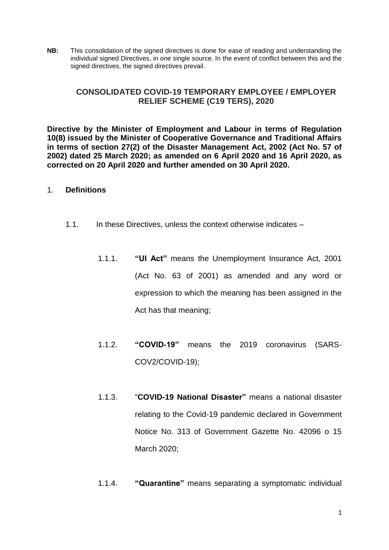**NB:** This consolidation of the signed directives is done for ease of reading and understanding the individual signed Directives, in one single source. In the event of conflict between this and the signed directives, the signed directives prevail.

# **CONSOLIDATED COVID-19 TEMPORARY EMPLOYEE / EMPLOYER RELIEF SCHEME (C19 TERS), 2020**

**Directive by the Minister of Employment and Labour in terms of Regulation 10(8) issued by the Minister of Cooperative Governance and Traditional Affairs in terms of section 27(2) of the Disaster Management Act, 2002 (Act No. 57 of 2002) dated 25 March 2020; as amended on 6 April 2020 and 16 April 2020, as corrected on 20 April 2020 and further amended on 30 April 2020.** 

## 1. **Definitions**

- 1.1. In these Directives, unless the context otherwise indicates
	- 1.1.1. **"UI Act"** means the Unemployment Insurance Act, 2001 (Act No. 63 of 2001) as amended and any word or expression to which the meaning has been assigned in the Act has that meaning;
	- 1.1.2. **"COVID-19"** means the 2019 coronavirus (SARS-COV2/COVID-19);
	- 1.1.3. "**COVID-19 National Disaster"** means a national disaster relating to the Covid-19 pandemic declared in Government Notice No. 313 of Government Gazette No. 42096 o 15 March 2020;
	- 1.1.4. **"Quarantine"** means separating a symptomatic individual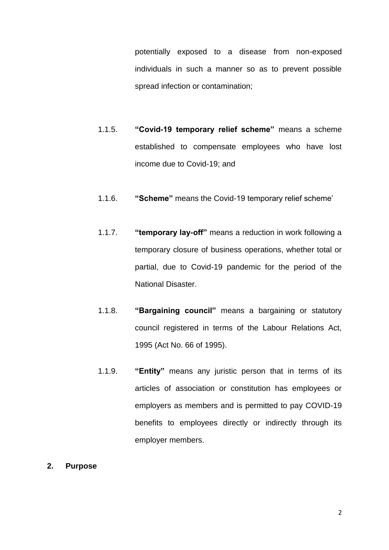potentially exposed to a disease from non-exposed individuals in such a manner so as to prevent possible spread infection or contamination;

- 1.1.5. **"Covid-19 temporary relief scheme"** means a scheme established to compensate employees who have lost income due to Covid-19; and
- 1.1.6. **"Scheme"** means the Covid-19 temporary relief scheme'
- 1.1.7. **"temporary lay-off"** means a reduction in work following a temporary closure of business operations, whether total or partial, due to Covid-19 pandemic for the period of the National Disaster.
- 1.1.8. **"Bargaining council"** means a bargaining or statutory council registered in terms of the Labour Relations Act, 1995 (Act No. 66 of 1995).
- 1.1.9. **"Entity"** means any juristic person that in terms of its articles of association or constitution has employees or employers as members and is permitted to pay COVID-19 benefits to employees directly or indirectly through its employer members.
- **2. Purpose**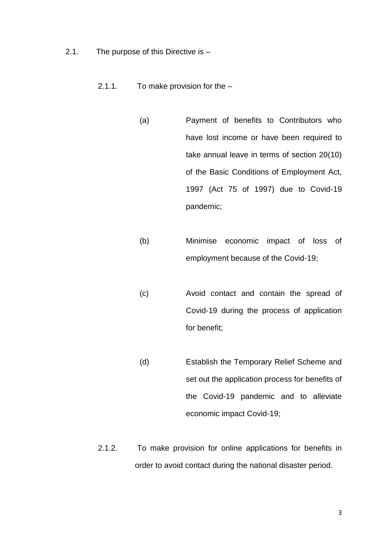- 2.1. The purpose of this Directive is
	- 2.1.1. To make provision for the
		- (a) Payment of benefits to Contributors who have lost income or have been required to take annual leave in terms of section 20(10) of the Basic Conditions of Employment Act, 1997 (Act 75 of 1997) due to Covid-19 pandemic;
		- (b) Minimise economic impact of loss of employment because of the Covid-19;
		- (c) Avoid contact and contain the spread of Covid-19 during the process of application for benefit;
		- (d) Establish the Temporary Relief Scheme and set out the application process for benefits of the Covid-19 pandemic and to alleviate economic impact Covid-19;
	- 2.1.2. To make provision for online applications for benefits in order to avoid contact during the national disaster period.

3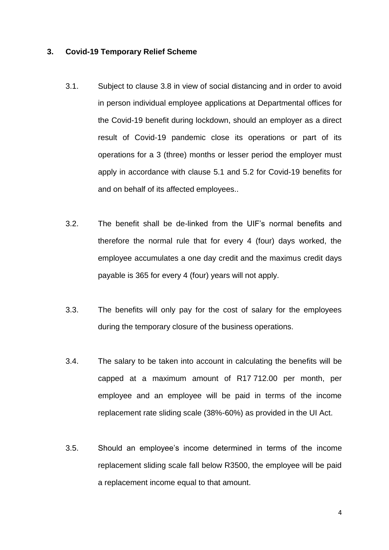### **3. Covid-19 Temporary Relief Scheme**

- 3.1. Subject to clause 3.8 in view of social distancing and in order to avoid in person individual employee applications at Departmental offices for the Covid-19 benefit during lockdown, should an employer as a direct result of Covid-19 pandemic close its operations or part of its operations for a 3 (three) months or lesser period the employer must apply in accordance with clause 5.1 and 5.2 for Covid-19 benefits for and on behalf of its affected employees..
- 3.2. The benefit shall be de-linked from the UIF's normal benefits and therefore the normal rule that for every 4 (four) days worked, the employee accumulates a one day credit and the maximus credit days payable is 365 for every 4 (four) years will not apply.
- 3.3. The benefits will only pay for the cost of salary for the employees during the temporary closure of the business operations.
- 3.4. The salary to be taken into account in calculating the benefits will be capped at a maximum amount of R17 712.00 per month, per employee and an employee will be paid in terms of the income replacement rate sliding scale (38%-60%) as provided in the UI Act.
- 3.5. Should an employee's income determined in terms of the income replacement sliding scale fall below R3500, the employee will be paid a replacement income equal to that amount.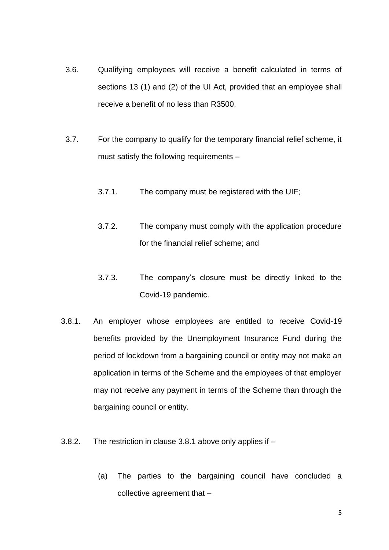- 3.6. Qualifying employees will receive a benefit calculated in terms of sections 13 (1) and (2) of the UI Act, provided that an employee shall receive a benefit of no less than R3500.
- 3.7. For the company to qualify for the temporary financial relief scheme, it must satisfy the following requirements –
	- 3.7.1. The company must be registered with the UIF;
	- 3.7.2. The company must comply with the application procedure for the financial relief scheme; and
	- 3.7.3. The company's closure must be directly linked to the Covid-19 pandemic.
- <span id="page-4-0"></span>3.8.1. An employer whose employees are entitled to receive Covid-19 benefits provided by the Unemployment Insurance Fund during the period of lockdown from a bargaining council or entity may not make an application in terms of the Scheme and the employees of that employer may not receive any payment in terms of the Scheme than through the bargaining council or entity.
- 3.8.2. The restriction in clause [3.8.1](#page-4-0) above only applies if
	- (a) The parties to the bargaining council have concluded a collective agreement that –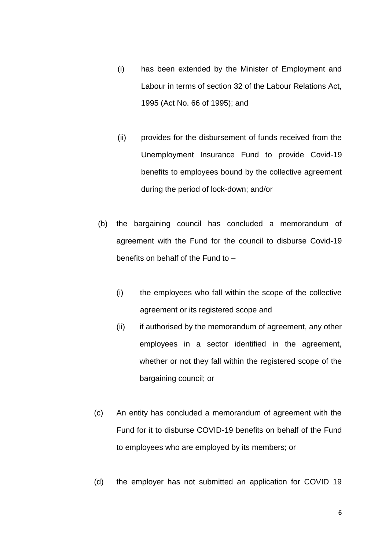- (i) has been extended by the Minister of Employment and Labour in terms of section 32 of the Labour Relations Act, 1995 (Act No. 66 of 1995); and
- (ii) provides for the disbursement of funds received from the Unemployment Insurance Fund to provide Covid-19 benefits to employees bound by the collective agreement during the period of lock-down; and/or
- (b) the bargaining council has concluded a memorandum of agreement with the Fund for the council to disburse Covid-19 benefits on behalf of the Fund to –
	- (i) the employees who fall within the scope of the collective agreement or its registered scope and
	- (ii) if authorised by the memorandum of agreement, any other employees in a sector identified in the agreement, whether or not they fall within the registered scope of the bargaining council; or
- (c) An entity has concluded a memorandum of agreement with the Fund for it to disburse COVID-19 benefits on behalf of the Fund to employees who are employed by its members; or
- (d) the employer has not submitted an application for COVID 19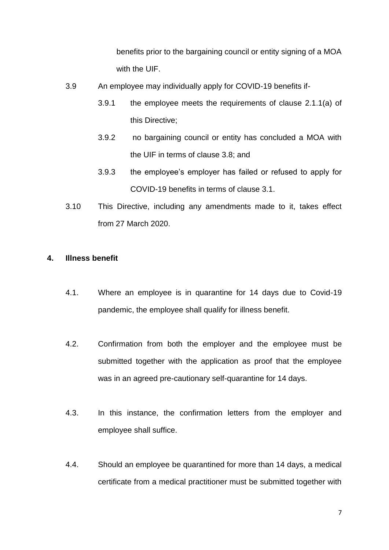benefits prior to the bargaining council or entity signing of a MOA with the UIF.

- 3.9 An employee may individually apply for COVID-19 benefits if-
	- 3.9.1 the employee meets the requirements of clause 2.1.1(a) of this Directive;
	- 3.9.2 no bargaining council or entity has concluded a MOA with the UIF in terms of clause 3.8; and
	- 3.9.3 the employee's employer has failed or refused to apply for COVID-19 benefits in terms of clause 3.1.
- 3.10 This Directive, including any amendments made to it, takes effect from 27 March 2020.

## **4. Illness benefit**

- 4.1. Where an employee is in quarantine for 14 days due to Covid-19 pandemic, the employee shall qualify for illness benefit.
- 4.2. Confirmation from both the employer and the employee must be submitted together with the application as proof that the employee was in an agreed pre-cautionary self-quarantine for 14 days.
- 4.3. In this instance, the confirmation letters from the employer and employee shall suffice.
- 4.4. Should an employee be quarantined for more than 14 days, a medical certificate from a medical practitioner must be submitted together with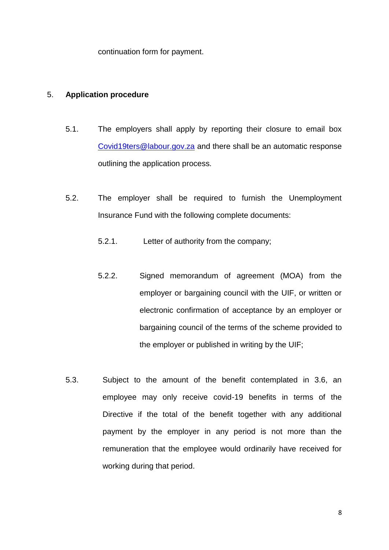continuation form for payment.

## 5. **Application procedure**

- 5.1. The employers shall apply by reporting their closure to email box [Covid19ters@labour.gov.za](mailto:Covid19ters@labour.gov.za) and there shall be an automatic response outlining the application process.
- 5.2. The employer shall be required to furnish the Unemployment Insurance Fund with the following complete documents:
	- 5.2.1. Letter of authority from the company;
	- 5.2.2. Signed memorandum of agreement (MOA) from the employer or bargaining council with the UIF, or written or electronic confirmation of acceptance by an employer or bargaining council of the terms of the scheme provided to the employer or published in writing by the UIF;
- 5.3. Subject to the amount of the benefit contemplated in 3.6, an employee may only receive covid-19 benefits in terms of the Directive if the total of the benefit together with any additional payment by the employer in any period is not more than the remuneration that the employee would ordinarily have received for working during that period.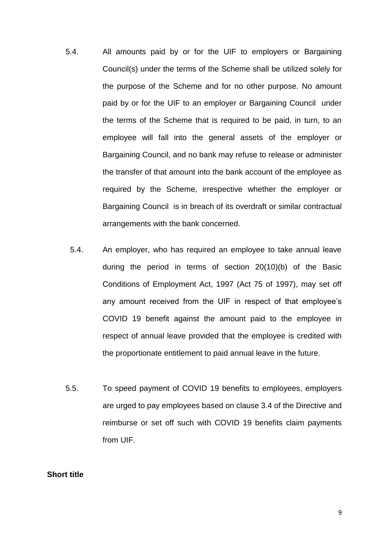- 5.4. All amounts paid by or for the UIF to employers or Bargaining Council(s) under the terms of the Scheme shall be utilized solely for the purpose of the Scheme and for no other purpose. No amount paid by or for the UIF to an employer or Bargaining Council under the terms of the Scheme that is required to be paid, in turn, to an employee will fall into the general assets of the employer or Bargaining Council, and no bank may refuse to release or administer the transfer of that amount into the bank account of the employee as required by the Scheme, irrespective whether the employer or Bargaining Council is in breach of its overdraft or similar contractual arrangements with the bank concerned.
	- 5.4. An employer, who has required an employee to take annual leave during the period in terms of section 20(10)(b) of the Basic Conditions of Employment Act, 1997 (Act 75 of 1997), may set off any amount received from the UIF in respect of that employee's COVID 19 benefit against the amount paid to the employee in respect of annual leave provided that the employee is credited with the proportionate entitlement to paid annual leave in the future.
- 5.5. To speed payment of COVID 19 benefits to employees, employers are urged to pay employees based on clause 3.4 of the Directive and reimburse or set off such with COVID 19 benefits claim payments from UIF.

#### **Short title**